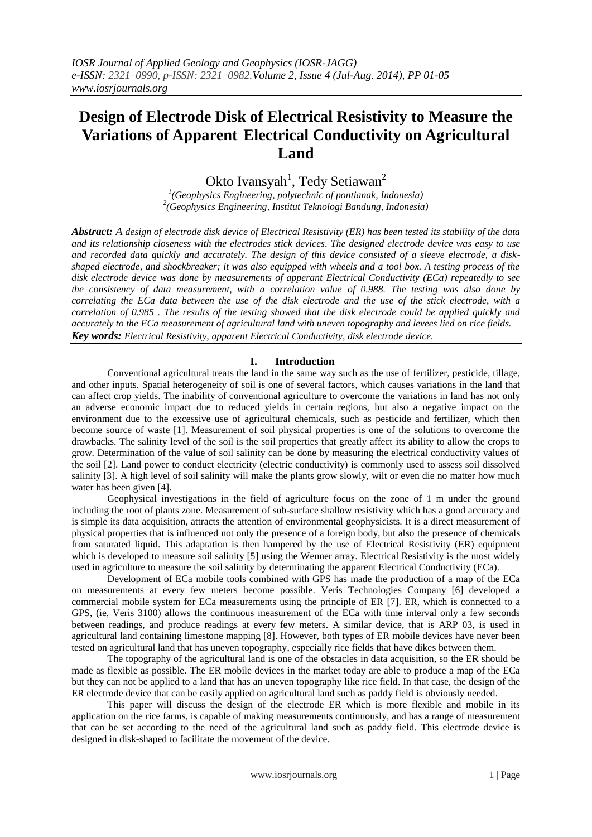# **Design of Electrode Disk of Electrical Resistivity to Measure the Variations of Apparent Electrical Conductivity on Agricultural Land**

Okto Ivansyah<sup>1</sup>, Tedy Setiawan<sup>2</sup>

*1 (Geophysics Engineering, polytechnic of pontianak, Indonesia) 2 (Geophysics Engineering, Institut Teknologi Bandung, Indonesia)*

*Abstract: A design of electrode disk device of Electrical Resistivity (ER) has been tested its stability of the data and its relationship closeness with the electrodes stick devices. The designed electrode device was easy to use and recorded data quickly and accurately. The design of this device consisted of a sleeve electrode, a diskshaped electrode, and shockbreaker; it was also equipped with wheels and a tool box. A testing process of the disk electrode device was done by measurements of apperant Electrical Conductivity (ECa) repeatedly to see the consistency of data measurement, with a correlation value of 0.988. The testing was also done by correlating the ECa data between the use of the disk electrode and the use of the stick electrode, with a correlation of 0.985 . The results of the testing showed that the disk electrode could be applied quickly and accurately to the ECa measurement of agricultural land with uneven topography and levees lied on rice fields. Key words: Electrical Resistivity, apparent Electrical Conductivity, disk electrode device.*

# **I. Introduction**

Conventional agricultural treats the land in the same way such as the use of fertilizer, pesticide, tillage, and other inputs. Spatial heterogeneity of soil is one of several factors, which causes variations in the land that can affect crop yields. The inability of conventional agriculture to overcome the variations in land has not only an adverse economic impact due to reduced yields in certain regions, but also a negative impact on the environment due to the excessive use of agricultural chemicals, such as pesticide and fertilizer, which then become source of waste [1]. Measurement of soil physical properties is one of the solutions to overcome the drawbacks. The salinity level of the soil is the soil properties that greatly affect its ability to allow the crops to grow. Determination of the value of soil salinity can be done by measuring the electrical conductivity values of the soil [2]. Land power to conduct electricity (electric conductivity) is commonly used to assess soil dissolved salinity [3]. A high level of soil salinity will make the plants grow slowly, wilt or even die no matter how much water has been given [4].

Geophysical investigations in the field of agriculture focus on the zone of 1 m under the ground including the root of plants zone. Measurement of sub-surface shallow resistivity which has a good accuracy and is simple its data acquisition, attracts the attention of environmental geophysicists. It is a direct measurement of physical properties that is influenced not only the presence of a foreign body, but also the presence of chemicals from saturated liquid. This adaptation is then hampered by the use of Electrical Resistivity (ER) equipment which is developed to measure soil salinity [5] using the Wenner array. Electrical Resistivity is the most widely used in agriculture to measure the soil salinity by determinating the apparent Electrical Conductivity (ECa).

Development of ECa mobile tools combined with GPS has made the production of a map of the ECa on measurements at every few meters become possible. Veris Technologies Company [6] developed a commercial mobile system for ECa measurements using the principle of ER [7]. ER, which is connected to a GPS, (ie, Veris 3100) allows the continuous measurement of the ECa with time interval only a few seconds between readings, and produce readings at every few meters. A similar device, that is ARP 03, is used in agricultural land containing limestone mapping [8]. However, both types of ER mobile devices have never been tested on agricultural land that has uneven topography, especially rice fields that have dikes between them.

The topography of the agricultural land is one of the obstacles in data acquisition, so the ER should be made as flexible as possible. The ER mobile devices in the market today are able to produce a map of the ECa but they can not be applied to a land that has an uneven topography like rice field. In that case, the design of the ER electrode device that can be easily applied on agricultural land such as paddy field is obviously needed.

This paper will discuss the design of the electrode ER which is more flexible and mobile in its application on the rice farms, is capable of making measurements continuously, and has a range of measurement that can be set according to the need of the agricultural land such as paddy field. This electrode device is designed in disk-shaped to facilitate the movement of the device.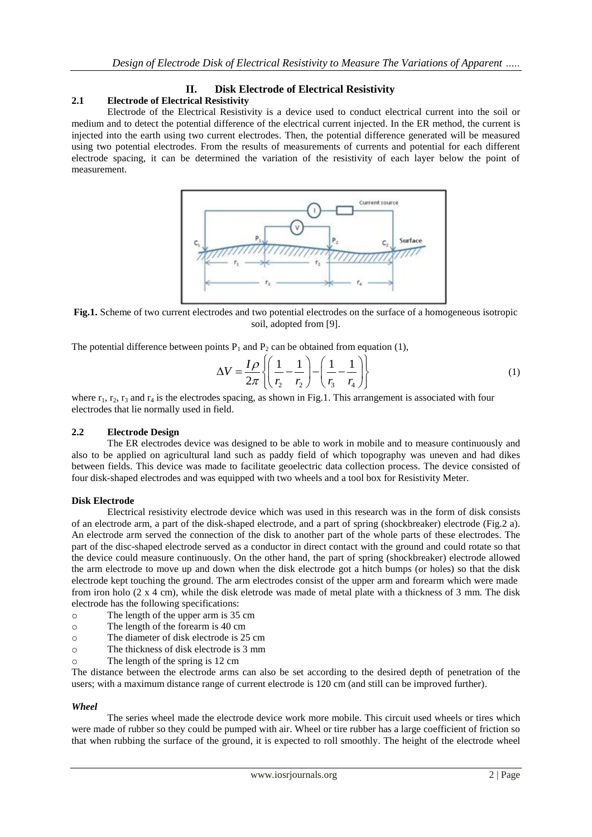# **II. Disk Electrode of Electrical Resistivity**

# **2.1 Electrode of Electrical Resistivity**

Electrode of the Electrical Resistivity is a device used to conduct electrical current into the soil or medium and to detect the potential difference of the electrical current injected. In the ER method, the current is injected into the earth using two current electrodes. Then, the potential difference generated will be measured using two potential electrodes. From the results of measurements of currents and potential for each different electrode spacing, it can be determined the variation of the resistivity of each layer below the point of measurement.



**Fig.1.** Scheme of two current electrodes and two potential electrodes on the surface of a homogeneous isotropic soil, adopted from [9].

The potential difference between points P<sub>1</sub> and P<sub>2</sub> can be obtained from equation (1),  
\n
$$
\Delta V = \frac{I \rho}{2\pi} \left\{ \left( \frac{1}{r_2} - \frac{1}{r_2} \right) - \left( \frac{1}{r_3} - \frac{1}{r_4} \right) \right\}
$$
\n(1)

where  $r_1$ ,  $r_2$ ,  $r_3$  and  $r_4$  is the electrodes spacing, as shown in Fig.1. This arrangement is associated with four electrodes that lie normally used in field.

# **2.2 Electrode Design**

The ER electrodes device was designed to be able to work in mobile and to measure continuously and also to be applied on agricultural land such as paddy field of which topography was uneven and had dikes between fields. This device was made to facilitate geoelectric data collection process. The device consisted of four disk-shaped electrodes and was equipped with two wheels and a tool box for Resistivity Meter.

#### **Disk Electrode**

Electrical resistivity electrode device which was used in this research was in the form of disk consists of an electrode arm, a part of the disk-shaped electrode, and a part of spring (shockbreaker) electrode (Fig.2 a). An electrode arm served the connection of the disk to another part of the whole parts of these electrodes. The part of the disc-shaped electrode served as a conductor in direct contact with the ground and could rotate so that the device could measure continuously. On the other hand, the part of spring (shockbreaker) electrode allowed the arm electrode to move up and down when the disk electrode got a hitch bumps (or holes) so that the disk electrode kept touching the ground. The arm electrodes consist of the upper arm and forearm which were made from iron holo (2 x 4 cm), while the disk eletrode was made of metal plate with a thickness of 3 mm. The disk electrode has the following specifications:

- o The length of the upper arm is 35 cm
- o The length of the forearm is 40 cm
- o The diameter of disk electrode is 25 cm
- o The thickness of disk electrode is 3 mm
- o The length of the spring is 12 cm

The distance between the electrode arms can also be set according to the desired depth of penetration of the users; with a maximum distance range of current electrode is 120 cm (and still can be improved further).

#### *Wheel*

The series wheel made the electrode device work more mobile. This circuit used wheels or tires which were made of rubber so they could be pumped with air. Wheel or tire rubber has a large coefficient of friction so that when rubbing the surface of the ground, it is expected to roll smoothly. The height of the electrode wheel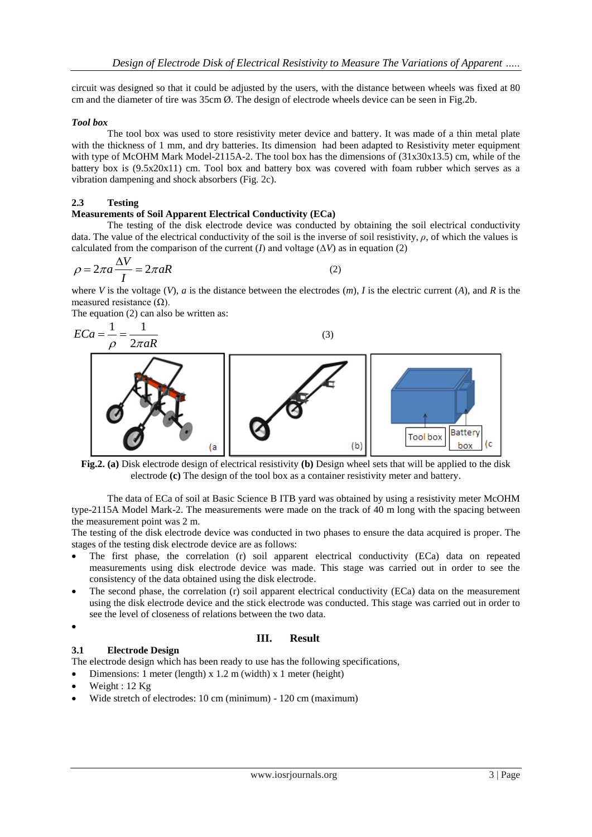circuit was designed so that it could be adjusted by the users, with the distance between wheels was fixed at 80 cm and the diameter of tire was 35cm Ø. The design of electrode wheels device can be seen in Fig.2b.

#### *Tool box*

The tool box was used to store resistivity meter device and battery. It was made of a thin metal plate with the thickness of 1 mm, and dry batteries. Its dimension had been adapted to Resistivity meter equipment with type of McOHM Mark Model-2115A-2. The tool box has the dimensions of  $(31x30x13.5)$  cm, while of the battery box is (9.5x20x11) cm. Tool box and battery box was covered with foam rubber which serves as a vibration dampening and shock absorbers (Fig. 2c).

### **2.3 Testing**

#### **Measurements of Soil Apparent Electrical Conductivity (ECa)**

The testing of the disk electrode device was conducted by obtaining the soil electrical conductivity data. The value of the electrical conductivity of the soil is the inverse of soil resistivity,  $\rho$ , of which the values is calculated from the comparison of the current (*I*) and voltage ( $\Delta V$ ) as in equation (2)

$$
\rho = 2\pi a \frac{\Delta V}{I} = 2\pi aR\tag{2}
$$

where *V* is the voltage (*V*), *a* is the distance between the electrodes  $(m)$ , *I* is the electric current (*A*), and *R* is the measured resistance  $(\Omega)$ .

The equation (2) can also be written as:

$$
ECa = \frac{1}{\rho} = \frac{1}{2\pi aR}
$$
\n
$$
\sigma
$$
\n
$$
\sigma
$$
\n
$$
\sigma
$$
\n
$$
\sigma
$$
\n
$$
\sigma
$$
\n
$$
\sigma
$$
\n
$$
\sigma
$$
\n
$$
\sigma
$$
\n
$$
\sigma
$$
\n
$$
\sigma
$$
\n
$$
\sigma
$$
\n
$$
\sigma
$$
\n
$$
\sigma
$$
\n
$$
\sigma
$$
\n
$$
\sigma
$$
\n
$$
\sigma
$$
\n
$$
\sigma
$$
\n
$$
\sigma
$$
\n
$$
\sigma
$$
\n
$$
\sigma
$$
\n
$$
\sigma
$$
\n
$$
\sigma
$$
\n
$$
\sigma
$$
\n
$$
\sigma
$$
\n
$$
\sigma
$$
\n
$$
\sigma
$$
\n
$$
\sigma
$$
\n
$$
\sigma
$$
\n
$$
\sigma
$$
\n
$$
\sigma
$$
\n
$$
\sigma
$$
\n
$$
\sigma
$$
\n
$$
\sigma
$$
\n
$$
\sigma
$$
\n
$$
\sigma
$$
\n
$$
\sigma
$$
\n
$$
\sigma
$$
\n
$$
\sigma
$$
\n
$$
\sigma
$$
\n
$$
\sigma
$$
\n
$$
\sigma
$$
\n
$$
\sigma
$$
\n
$$
\sigma
$$
\n
$$
\sigma
$$
\n
$$
\sigma
$$
\n
$$
\sigma
$$
\n
$$
\sigma
$$
\n
$$
\sigma
$$
\n
$$
\sigma
$$
\n
$$
\sigma
$$
\n
$$
\sigma
$$
\n
$$
\sigma
$$
\n
$$
\sigma
$$
\n
$$
\sigma
$$
\n
$$
\sigma
$$
\n
$$
\sigma
$$
\n
$$
\sigma
$$
\n
$$
\sigma
$$
\n
$$
\sigma
$$
\n
$$
\sigma
$$
\n
$$
\sigma
$$
\n
$$
\sigma
$$
\n
$$
\sigma
$$
\n
$$
\sigma
$$
\n
$$
\sigma
$$
\n
$$
\sigma
$$
\n
$$
\sigma
$$

**Fig.2. (a)** Disk electrode design of electrical resistivity **(b)** Design wheel sets that will be applied to the disk electrode **(c)** The design of the tool box as a container resistivity meter and battery.

The data of ECa of soil at Basic Science B ITB yard was obtained by using a resistivity meter McOHM type-2115A Model Mark-2. The measurements were made on the track of 40 m long with the spacing between the measurement point was 2 m.

The testing of the disk electrode device was conducted in two phases to ensure the data acquired is proper. The stages of the testing disk electrode device are as follows:

- The first phase, the correlation (r) soil apparent electrical conductivity (ECa) data on repeated measurements using disk electrode device was made. This stage was carried out in order to see the consistency of the data obtained using the disk electrode.
- The second phase, the correlation (r) soil apparent electrical conductivity (ECa) data on the measurement using the disk electrode device and the stick electrode was conducted. This stage was carried out in order to see the level of closeness of relations between the two data.
- $\bullet$

# **III. Result**

**3.1 Electrode Design** The electrode design which has been ready to use has the following specifications,

- Dimensions: 1 meter (length) x 1.2 m (width) x 1 meter (height)
- Weight : 12 Kg
- Wide stretch of electrodes: 10 cm (minimum) 120 cm (maximum)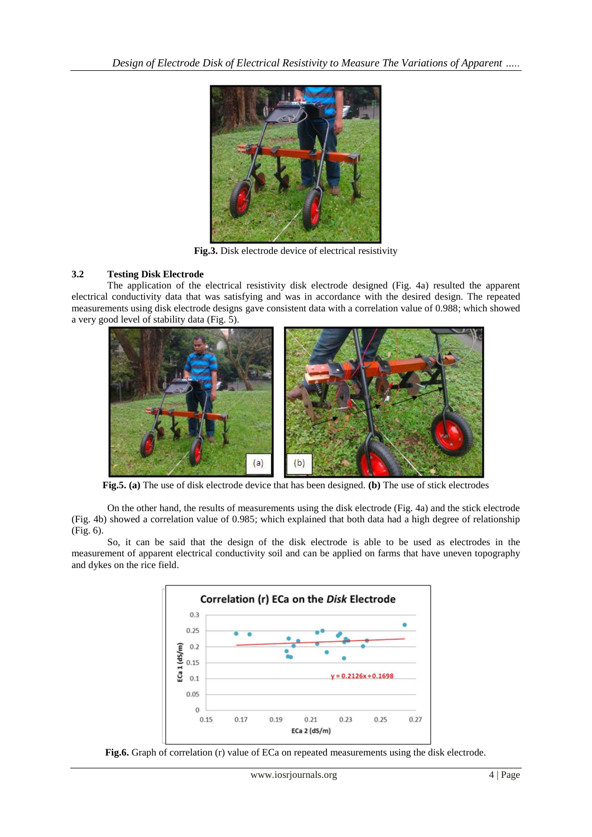

**Fig.3.** Disk electrode device of electrical resistivity

# **3.2 Testing Disk Electrode**

The application of the electrical resistivity disk electrode designed (Fig. 4a) resulted the apparent electrical conductivity data that was satisfying and was in accordance with the desired design. The repeated measurements using disk electrode designs gave consistent data with a correlation value of 0.988; which showed a very good level of stability data (Fig. 5).



**Fig.5. (a)** The use of disk electrode device that has been designed. **(b)** The use of stick electrodes

On the other hand, the results of measurements using the disk electrode (Fig. 4a) and the stick electrode (Fig. 4b) showed a correlation value of 0.985; which explained that both data had a high degree of relationship (Fig. 6).

So, it can be said that the design of the disk electrode is able to be used as electrodes in the measurement of apparent electrical conductivity soil and can be applied on farms that have uneven topography and dykes on the rice field.



**Fig.6.** Graph of correlation (r) value of ECa on repeated measurements using the disk electrode.